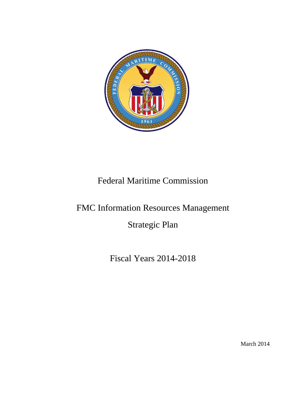

# Federal Maritime Commission

# FMC Information Resources Management

Strategic Plan

Fiscal Years 2014-2018

March 2014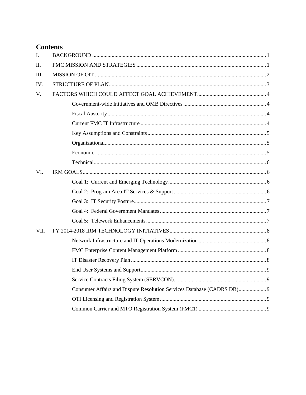# **Contents**

| I.   |                                                                        |  |
|------|------------------------------------------------------------------------|--|
| Π.   |                                                                        |  |
| III. |                                                                        |  |
| IV.  |                                                                        |  |
| V.   |                                                                        |  |
|      |                                                                        |  |
|      |                                                                        |  |
|      |                                                                        |  |
|      |                                                                        |  |
|      |                                                                        |  |
|      |                                                                        |  |
|      |                                                                        |  |
| VI.  |                                                                        |  |
|      |                                                                        |  |
|      |                                                                        |  |
|      |                                                                        |  |
|      |                                                                        |  |
|      |                                                                        |  |
| VII. |                                                                        |  |
|      |                                                                        |  |
|      |                                                                        |  |
|      |                                                                        |  |
|      |                                                                        |  |
|      |                                                                        |  |
|      | Consumer Affairs and Dispute Resolution Services Database (CADRS DB) 9 |  |
|      |                                                                        |  |
|      |                                                                        |  |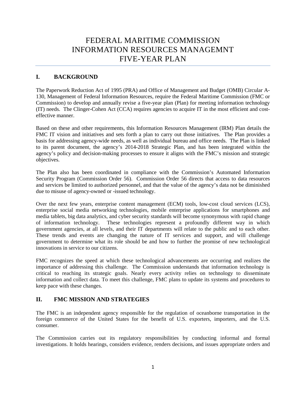# FEDERAL MARITIME COMMISSION INFORMATION RESOURCES MANAGEMNT FIVE-YEAR PLAN

# <span id="page-2-0"></span>**I. BACKGROUND**

The Paperwork Reduction Act of 1995 (PRA) and Office of Management and Budget (OMB) Circular A-130, Management of Federal Information Resources, require the Federal Maritime Commission (FMC or Commission) to develop and annually revise a five-year plan (Plan) for meeting information technology (IT) needs. The Clinger-Cohen Act (CCA) requires agencies to acquire IT in the most efficient and costeffective manner.

Based on these and other requirements, this Information Resources Management (IRM) Plan details the FMC IT vision and initiatives and sets forth a plan to carry out those initiatives. The Plan provides a basis for addressing agency-wide needs, as well as individual bureau and office needs. The Plan is linked to its parent document, the agency's 2014-2018 Strategic Plan, and has been integrated within the agency's policy and decision-making processes to ensure it aligns with the FMC's mission and strategic objectives.

The Plan also has been coordinated in compliance with the Commission's Automated Information Security Program (Commission Order 56). Commission Order 56 directs that access to data resources and services be limited to authorized personnel, and that the value of the agency's data not be diminished due to misuse of agency-owned or -issued technology.

Over the next few years, enterprise content management (ECM) tools, low-cost cloud services (LCS), enterprise social media networking technologies, mobile enterprise applications for smartphones and media tablets, big data analytics, and cyber security standards will become synonymous with rapid change of information technology. These technologies represent a profoundly different way in which government agencies, at all levels, and their IT departments will relate to the public and to each other. These trends and events are changing the nature of IT services and support, and will challenge government to determine what its role should be and how to further the promise of new technological innovations in service to our citizens.

FMC recognizes the speed at which these technological advancements are occurring and realizes the importance of addressing this challenge. The Commission understands that information technology is critical to reaching its strategic goals. Nearly every activity relies on technology to disseminate information and collect data. To meet this challenge, FMC plans to update its systems and procedures to keep pace with these changes.

# <span id="page-2-1"></span>**II. FMC MISSION AND STRATEGIES**

The FMC is an independent agency responsible for the regulation of oceanborne transportation in the foreign commerce of the United States for the benefit of U.S. exporters, importers, and the U.S. consumer.

The Commission carries out its regulatory responsibilities by conducting informal and formal investigations. It holds hearings, considers evidence, renders decisions, and issues appropriate orders and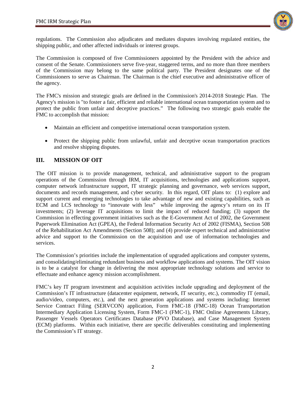

regulations. The Commission also adjudicates and mediates disputes involving regulated entities, the shipping public, and other affected individuals or interest groups.

The Commission is composed of five Commissioners appointed by the President with the advice and consent of the Senate. Commissioners serve five-year, staggered terms, and no more than three members of the Commission may belong to the same political party. The President designates one of the Commissioners to serve as Chairman. The Chairman is the chief executive and administrative officer of the agency.

The FMC's mission and strategic goals are defined in the Commission's 2014-2018 Strategic Plan. The Agency's mission is "to foster a fair, efficient and reliable international ocean transportation system and to protect the public from unfair and deceptive practices." The following two strategic goals enable the FMC to accomplish that mission:

- Maintain an efficient and competitive international ocean transportation system.
- Protect the shipping public from unlawful, unfair and deceptive ocean transportation practices and resolve shipping disputes.

# <span id="page-3-0"></span>**III. MISSION OF OIT**

The OIT mission is to provide management, technical, and administrative support to the program operations of the Commission through IRM, IT acquisitions, technologies and applications support, computer network infrastructure support, IT strategic planning and governance, web services support, documents and records management, and cyber security. In this regard, OIT plans to: (1) explore and support current and emerging technologies to take advantage of new and existing capabilities, such as ECM and LCS technology to "innovate with less" while improving the agency's return on its IT investments; (2) leverage IT acquisitions to limit the impact of reduced funding; (3) support the Commission in effecting government initiatives such as the E-Government Act of 2002, the Government Paperwork Elimination Act (GPEA), the Federal Information Security Act of 2002 (FISMA), Section 508 of the Rehabilitation Act Amendments (Section 508); and (4) provide expert technical and administrative advice and support to the Commission on the acquisition and use of information technologies and services.

The Commission's priorities include the implementation of upgraded applications and computer systems, and consolidating/eliminating redundant business and workflow applications and systems. The OIT vision is to be a catalyst for change in delivering the most appropriate technology solutions and service to effectuate and enhance agency mission accomplishment.

FMC's key IT program investment and acquisition activities include upgrading and deployment of the Commission's IT infrastructure (datacenter equipment, network, IT security, etc.), commodity IT (email, audio/video, computers, etc.), and the next generation applications and systems including: Internet Service Contract Filing (SERVCON) application, Form FMC-18 (FMC-18) Ocean Transportation Intermediary Application Licensing System, Form FMC-1 (FMC-1), FMC Online Agreements Library, Passenger Vessels Operators Certificates Database (PVO Database), and Case Management System (ECM) platforms. Within each initiative, there are specific deliverables constituting and implementing the Commission's IT strategy.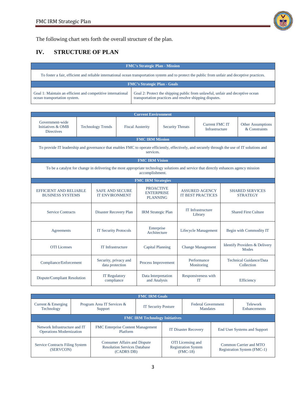

The following chart sets forth the overall structure of the plan.

# <span id="page-4-0"></span>**IV. STRUCTURE OF PLAN**

| <b>FMC's Strategic Plan - Mission</b>                                                                                                             |                                                                                                                                          |  |  |  |  |  |
|---------------------------------------------------------------------------------------------------------------------------------------------------|------------------------------------------------------------------------------------------------------------------------------------------|--|--|--|--|--|
| To foster a fair, efficient and reliable international ocean transportation system and to protect the public from unfair and deceptive practices. |                                                                                                                                          |  |  |  |  |  |
| <b>FMC's Strategic Plan - Goals</b>                                                                                                               |                                                                                                                                          |  |  |  |  |  |
| Goal 1: Maintain an efficient and competitive international<br>ocean transportation system.                                                       | Goal 2: Protect the shipping public from unlawful, unfair and deceptive ocean<br>transportation practices and resolve shipping disputes. |  |  |  |  |  |

| <b>Current Environment</b>                                                                                                                                  |                          |                                                 |                         |                                                          |                            |                                                   |                                         |                                                   |                                           |
|-------------------------------------------------------------------------------------------------------------------------------------------------------------|--------------------------|-------------------------------------------------|-------------------------|----------------------------------------------------------|----------------------------|---------------------------------------------------|-----------------------------------------|---------------------------------------------------|-------------------------------------------|
| Government-wide<br>Initiatives & OMB<br><b>Directives</b>                                                                                                   | <b>Technology Trends</b> |                                                 | <b>Fiscal Austerity</b> |                                                          | <b>Security Threats</b>    |                                                   | <b>Current FMC IT</b><br>Infrastructure |                                                   | <b>Other Assumptions</b><br>& Constraints |
| <b>FMC IRM Mission</b>                                                                                                                                      |                          |                                                 |                         |                                                          |                            |                                                   |                                         |                                                   |                                           |
| To provide IT leadership and governance that enables FMC to operate efficiently, effectively, and securely through the use of IT solutions and<br>services. |                          |                                                 |                         |                                                          |                            |                                                   |                                         |                                                   |                                           |
|                                                                                                                                                             |                          |                                                 |                         | <b>FMC IRM Vision</b>                                    |                            |                                                   |                                         |                                                   |                                           |
| To be a catalyst for change in delivering the most appropriate technology solutions and service that directly enhances agency mission<br>accomplishment.    |                          |                                                 |                         |                                                          |                            |                                                   |                                         |                                                   |                                           |
|                                                                                                                                                             |                          |                                                 |                         | <b>FMC IRM Strategies</b>                                |                            |                                                   |                                         |                                                   |                                           |
| <b>EFFICIENT AND RELIABLE</b><br><b>BUSINESS SYSTEMS</b>                                                                                                    |                          | <b>SAFE AND SECURE</b><br><b>IT ENVIRONMENT</b> |                         | <b>PROACTIVE</b><br><b>ENTERPRISE</b><br><b>PLANNING</b> |                            | <b>ASSURED AGENCY</b><br><b>IT BEST PRACTICES</b> |                                         | <b>SHARED SERVICES</b><br><b>STRATEGY</b>         |                                           |
| <b>Service Contracts</b>                                                                                                                                    |                          |                                                 | Disaster Recovery Plan  |                                                          | <b>IRM Strategic Plan</b>  | <b>IT Infrastructure</b><br>Library               |                                         | <b>Shared First Culture</b>                       |                                           |
| Agreements                                                                                                                                                  |                          | <b>IT Security Protocols</b>                    |                         |                                                          | Enterprise<br>Architecture |                                                   | Lifecycle Management                    |                                                   | Begin with Commodity IT                   |
| <b>OTI</b> Licenses                                                                                                                                         |                          | IT Infrastructure                               |                         | <b>Capital Planning</b>                                  |                            | <b>Change Management</b>                          |                                         | <b>Identify Providers &amp; Delivery</b><br>Modes |                                           |
| Compliance/Enforcement                                                                                                                                      |                          | Security, privacy and<br>data protection        |                         | Process Improvement                                      |                            | Performance<br>Monitoring                         |                                         | Technical Guidance/Data<br>Collection             |                                           |
| Dispute/Compliant Resolution                                                                                                                                |                          | <b>IT Regulatory</b><br>compliance              |                         | Data Interpretation<br>and Analysis                      |                            |                                                   | Responsiveness with<br><b>IT</b>        |                                                   | Efficiency                                |

| <b>FMC IRM Goals</b>                                             |                                       |                                                                                          |                            |                                                                      |                                       |                                                       |                                 |  |  |
|------------------------------------------------------------------|---------------------------------------|------------------------------------------------------------------------------------------|----------------------------|----------------------------------------------------------------------|---------------------------------------|-------------------------------------------------------|---------------------------------|--|--|
| Current & Emerging<br>Technology                                 | Program Area IT Services &<br>Support |                                                                                          | <b>IT Security Posture</b> |                                                                      | <b>Federal Government</b><br>Mandates |                                                       | <b>Telework</b><br>Enhancements |  |  |
| <b>FMC IRM Technology Initiatives</b>                            |                                       |                                                                                          |                            |                                                                      |                                       |                                                       |                                 |  |  |
| Network Infrastructure and IT<br><b>Operations Modernization</b> |                                       | <b>FMC</b> Enterprise Content Management<br>Platform                                     |                            | <b>IT Disaster Recovery</b>                                          |                                       | End User Systems and Support                          |                                 |  |  |
| Service Contracts Filing System<br>(SERVCON)                     |                                       | <b>Consumer Affairs and Dispute</b><br><b>Resolution Services Database</b><br>(CADRS DB) |                            | <b>OTI</b> Licensing and<br><b>Registration System</b><br>$(FMC-18)$ |                                       | Common Carrier and MTO<br>Registration System (FMC-1) |                                 |  |  |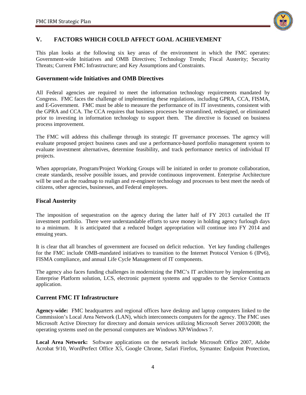

# <span id="page-5-0"></span>**V. FACTORS WHICH COULD AFFECT GOAL ACHIEVEMENT**

This plan looks at the following six key areas of the environment in which the FMC operates: Government-wide Initiatives and OMB Directives; Technology Trends; Fiscal Austerity; Security Threats; Current FMC Infrastructure; and Key Assumptions and Constraints.

# <span id="page-5-1"></span>**Government-wide Initiatives and OMB Directives**

All Federal agencies are required to meet the information technology requirements mandated by Congress. FMC faces the challenge of implementing these regulations, including GPRA, CCA, FISMA, and E-Government. FMC must be able to measure the performance of its IT investments, consistent with the GPRA and CCA. The CCA requires that business processes be streamlined, redesigned, or eliminated prior to investing in information technology to support them. The directive is focused on business process improvement.

The FMC will address this challenge through its strategic IT governance processes. The agency will evaluate proposed project business cases and use a performance-based portfolio management system to evaluate investment alternatives, determine feasibility, and track performance metrics of individual IT projects.

When appropriate, Program/Project Working Groups will be initiated in order to promote collaboration, create standards, resolve possible issues, and provide continuous improvement. Enterprise Architecture will be used as the roadmap to realign and re-engineer technology and processes to best meet the needs of citizens, other agencies, businesses, and Federal employees.

### <span id="page-5-2"></span>**Fiscal Austerity**

The imposition of sequestration on the agency during the latter half of FY 2013 curtailed the IT investment portfolio. There were understandable efforts to save money in holding agency furlough days to a minimum. It is anticipated that a reduced budget appropriation will continue into FY 2014 and ensuing years.

It is clear that all branches of government are focused on deficit reduction. Yet key funding challenges for the FMC include OMB-mandated initiatives to transition to the Internet Protocol Version 6 (IPv6), FISMA compliance, and annual Life Cycle Management of IT components.

The agency also faces funding challenges in modernizing the FMC's IT architecture by implementing an Enterprise Platform solution, LCS, electronic payment systems and upgrades to the Service Contracts application.

### <span id="page-5-3"></span>**Current FMC IT Infrastructure**

**Agency-wide:** FMC headquarters and regional offices have desktop and laptop computers linked to the Commission's Local Area Network (LAN), which interconnects computers for the agency. The FMC uses Microsoft Active Directory for directory and domain services utilizing Microsoft Server 2003/2008; the operating systems used on the personal computers are Windows XP/Windows 7.

**Local Area Network:** Software applications on the network include Microsoft Office 2007, Adobe Acrobat 9/10, WordPerfect Office X5, Google Chrome, Safari Firefox, Symantec Endpoint Protection,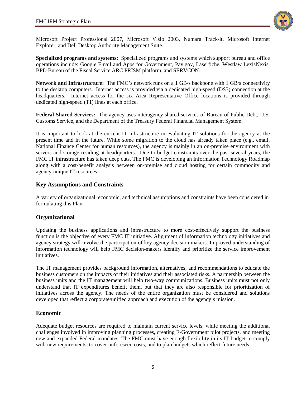

Microsoft Project Professional 2007, Microsoft Visio 2003, Numara Track-it, Microsoft Internet Explorer, and Dell Desktop Authority Management Suite.

**Specialized programs and systems:** Specialized programs and systems which support bureau and office operations include: Google Email and Apps for Government, Pay.gov, Laserfiche, Westlaw LexisNexis, BPD Bureau of the Fiscal Service ARC PRISM platform, and SERVCON.

**Network and Infrastructure:** The FMC's network runs on a 1 GB/s backbone with 1 GB/s connectivity to the desktop computers. Internet access is provided via a dedicated high-speed (DS3) connection at the headquarters. Internet access for the six Area Representative Office locations is provided through dedicated high-speed (T1) lines at each office.

**Federal Shared Services:** The agency uses interagency shared services of Bureau of Public Debt, U.S. Customs Service, and the Department of the Treasury Federal Financial Management System.

It is important to look at the current IT infrastructure in evaluating IT solutions for the agency at the present time and in the future. While some migration to the cloud has already taken place (e.g., email, National Finance Center for human resources), the agency is mainly in an on-premise environment with servers and storage residing at headquarters. Due to budget constraints over the past several years, the FMC IT infrastructure has taken deep cuts. The FMC is developing an Information Technology Roadmap along with a cost-benefit analysis between on-premise and cloud hosting for certain commodity and agency-unique IT resources.

# <span id="page-6-0"></span>**Key Assumptions and Constraints**

A variety of organizational, economic, and technical assumptions and constraints have been considered in formulating this Plan.

# <span id="page-6-1"></span>**Organizational**

Updating the business applications and infrastructure to more cost-effectively support the business function is the objective of every FMC IT initiative. Alignment of information technology initiatives and agency strategy will involve the participation of key agency decision-makers. Improved understanding of information technology will help FMC decision-makers identify and prioritize the service improvement initiatives.

The IT management provides background information, alternatives, and recommendations to educate the business customers on the impacts of their initiatives and their associated risks. A partnership between the business units and the IT management will help two-way communications. Business units must not only understand that IT expenditures benefit them, but that they are also responsible for prioritization of initiatives across the agency. The needs of the entire organization must be considered and solutions developed that reflect a corporate/unified approach and execution of the agency's mission.

# <span id="page-6-2"></span>**Economic**

Adequate budget resources are required to maintain current service levels, while meeting the additional challenges involved in improving planning processes, creating E-Government pilot projects, and meeting new and expanded Federal mandates. The FMC must have enough flexibility in its IT budget to comply with new requirements, to cover unforeseen costs, and to plan budgets which reflect future needs.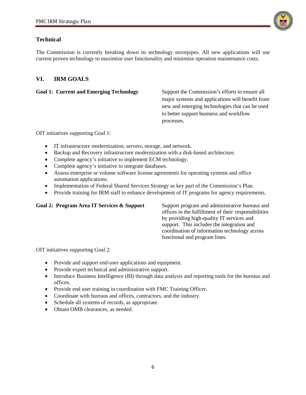

# <span id="page-7-0"></span>**Technical**

The Commission is currently breaking down its technology stovepipes. All new applications will use current proven technology to maximize user functionality and minimize operation maintenance costs.

# <span id="page-7-1"></span>**VI. IRM GOALS**

<span id="page-7-2"></span>**Goal 1: Current and Emerging Technology** Support the Commission's efforts to ensure all major systems and applications will benefit from new and emerging technologies that can be used to better support business and workflow processes.

OIT initiatives supporting Goal 1:

- IT infrastructure modernization; servers, storage, and network.
- Backup and Recovery infrastructure modernization with a disk-based architecture.
- Complete agency's initiative to implement ECM technology.
- Complete agency's initiative to integrate databases.
- Assess enterprise or volume software license agreements for operating systems and office automation applications.
- Implementation of Federal Shared Services Strategy as key part of the Commission's Plan.
- Provide training for IRM staff to enhance development of IT programs for agency requirements.

# <span id="page-7-3"></span>Goal 2: Program Area IT Services & Support Support program and administrative bureaus and

offices in the fulfillment of their responsibilities by providing high-quality IT services and support. This includes the integration and coordination of information technology across functional and program lines.

OIT initiatives supporting Goal 2:

- Provide and support end-user applications and equipment.
- Provide expert technical and administrative support.
- Introduce Business Intelligence (BI) through data analysis and reporting tools for the bureaus and offices.
- Provide end user training in coordination with FMC Training Officer.
- Coordinate with bureaus and offices, contractors, and the industry.
- Schedule all systems of records, as appropriate.
- Obtain OMB clearances, as needed.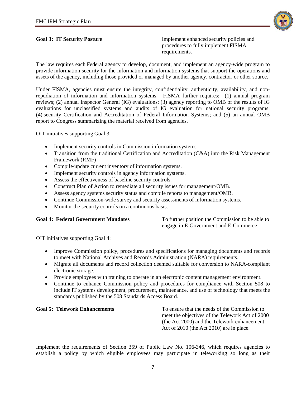

<span id="page-8-0"></span>**Goal 3: IT Security Posture IMPLE 10. Implement enhanced security policies and** procedures to fully implement FISMA requirements.

The law requires each Federal agency to develop, document, and implement an agency-wide program to provide information security for the information and information systems that support the operations and assets of the agency, including those provided or managed by another agency, contractor, or other source.

Under FISMA, agencies must ensure the integrity, confidentiality, authenticity, availability, and nonrepudiation of information and information systems. FISMA further requires: (1) annual program reviews; (2) annual Inspector General (IG) evaluations; (3) agency reporting to OMB of the results of IG evaluations for unclassified systems and audits of IG evaluation for national security programs; (4) security Certification and Accreditation of Federal Information Systems; and (5) an annual OMB report to Congress summarizing the material received from agencies.

OIT initiatives supporting Goal 3:

- Implement security controls in Commission information systems.
- Transition from the traditional Certification and Accreditation (C&A) into the Risk Management Framework (RMF)
- Compile/update current inventory of information systems.
- Implement security controls in agency information systems.
- Assess the effectiveness of baseline security controls.
- Construct Plan of Action to remediate all security issues for management/OMB.
- Assess agency systems security status and compile reports to management/OMB.
- Continue Commission-wide survey and security assessments of information systems.
- Monitor the security controls on a continuous basis.

<span id="page-8-1"></span>Goal 4: Federal Government Mandates To further position the Commission to be able to engage in E-Government and E-Commerce.

OIT initiatives supporting Goal 4:

- Improve Commission policy, procedures and specifications for managing documents and records to meet with National Archives and Records Administration (NARA) requirements.
- Migrate all documents and record collection deemed suitable for conversion to NARA-compliant electronic storage.
- Provide employees with training to operate in an electronic content management environment.
- Continue to enhance Commission policy and procedures for compliance with Section 508 to include IT systems development, procurement, maintenance, and use of technology that meets the standards published by the 508 Standards Access Board.

<span id="page-8-2"></span>**Goal 5: Telework Enhancements** To ensure that the needs of the Commission to meet the objectives of the Telework Act of 2000 (the Act 2000) and the Telework enhancement Act of 2010 (the Act 2010) are in place.

Implement the requirements of Section 359 of Public Law No. 106-346, which requires agencies to establish a policy by which eligible employees may participate in teleworking so long as their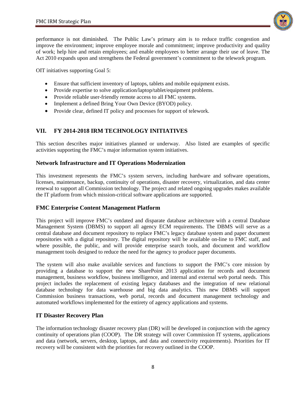

performance is not diminished. The Public Law's primary aim is to reduce traffic congestion and improve the environment; improve employee morale and commitment; improve productivity and quality of work; help hire and retain employees; and enable employees to better arrange their use of leave. The Act 2010 expands upon and strengthens the Federal government's commitment to the telework program.

OIT initiatives supporting Goal 5:

- Ensure that sufficient inventory of laptops, tablets and mobile equipment exists.
- Provide expertise to solve application/laptop/tablet/equipment problems.
- Provide reliable user-friendly remote access to all FMC systems.
- Implement a defined Bring Your Own Device (BYOD) policy.
- Provide clear, defined IT policy and processes for support of telework.

# <span id="page-9-0"></span>**VII. FY 2014-2018 IRM TECHNOLOGY INITIATIVES**

This section describes major initiatives planned or underway. Also listed are examples of specific activities supporting the FMC's major information system initiatives.

# <span id="page-9-1"></span>**Network Infrastructure and IT Operations Modernization**

This investment represents the FMC's system servers, including hardware and software operations, licenses, maintenance, backup, continuity of operations, disaster recovery, virtualization, and data center renewal to support all Commission technology. The project and related ongoing upgrades makes available the IT platform from which mission-critical software applications are supported.

# <span id="page-9-2"></span>**FMC Enterprise Content Management Platform**

This project will improve FMC's outdated and disparate database architecture with a central Database Management System (DBMS) to support all agency ECM requirements. The DBMS will serve as a central database and document repository to replace FMC's legacy database system and paper document repositories with a digital repository. The digital repository will be available on-line to FMC staff, and where possible, the public, and will provide enterprise search tools, and document and workflow management tools designed to reduce the need for the agency to produce paper documents.

The system will also make available services and functions to support the FMC's core mission by providing a database to support the new SharePoint 2013 application for records and document management, business workflow, business intelligence, and internal and external web portal needs. This project includes the replacement of existing legacy databases and the integration of new relational database technology for data warehouse and big data analytics. This new DBMS will support Commission business transactions, web portal, records and document management technology and automated workflows implemented for the entirety of agency applications and systems.

# <span id="page-9-3"></span>**IT Disaster Recovery Plan**

The information technology disaster recovery plan (DR) will be developed in conjunction with the agency continuity of operations plan (COOP). The DR strategy will cover Commission IT systems, applications and data (network, servers, desktop, laptops, and data and connectivity requirements). Priorities for IT recovery will be consistent with the priorities for recovery outlined in the COOP.